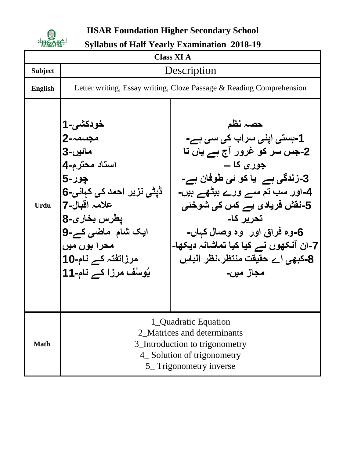

**IISAR Foundation Higher Secondary School**

**Syllabus of Half Yearly Examination 2018-19**

| <b>Class XI A</b> |                                                                                                                                                                                                                                    |                                                                                                                                                                                                                                                                                                                                              |  |  |
|-------------------|------------------------------------------------------------------------------------------------------------------------------------------------------------------------------------------------------------------------------------|----------------------------------------------------------------------------------------------------------------------------------------------------------------------------------------------------------------------------------------------------------------------------------------------------------------------------------------------|--|--|
| <b>Subject</b>    | Description                                                                                                                                                                                                                        |                                                                                                                                                                                                                                                                                                                                              |  |  |
| <b>English</b>    | Letter writing, Essay writing, Cloze Passage & Reading Comprehension                                                                                                                                                               |                                                                                                                                                                                                                                                                                                                                              |  |  |
| <b>Urdu</b>       | خودکشی۔1<br>مجسمہ-2<br>مائيں-3<br>استاد محترم-4<br><b>چور-5</b><br>ڈیٹی نزیر احمد ک <i>ی</i> کہانی <b>-6</b><br>علامہ اقبال-7 <br>يطرس بخارى-8<br>ایک شام ماضی کے-9<br>محرا بوں میں<br>مرزاتفتہ کے نام-10<br>یُوسُف مرزا کے نام-11 | حصہ نظم<br>1-بِستی اپنی سراب کی سی ہے-<br>2۔جس سر کو غرور آج ہے یاں تا<br>جور ی کا ــ<br>3-زندگ <i>ی</i> ہے۔یا کو ئ <i>ی</i> طوفان ہے-<br>4-اور سب تم سے ورے بیٹھے ہیں-<br>5-نقش فریادی یے کس کی شوخئی<br>تحریر کا۔<br>6-وه فراق اور  وه وصال کہاں۔<br>7-ان آنکھوں نے کیا کیا تماشانہ دیکھا۔<br>8-کبھی اے حقیقت منتظر،نظر آلباس<br>مجاز میں۔ |  |  |
| <b>Math</b>       | 1_Quadratic Equation<br>2_Matrices and determinants<br>3_Introduction to trigonometry<br>4_Solution of trigonometry<br>5_Trigonometry inverse                                                                                      |                                                                                                                                                                                                                                                                                                                                              |  |  |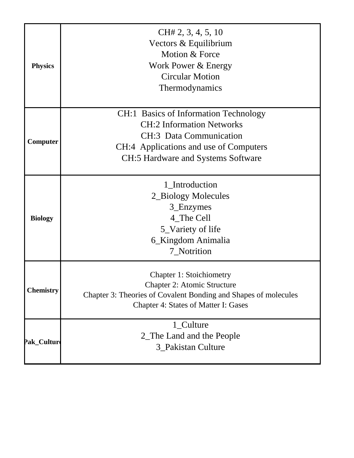| <b>Physics</b>   | CH# 2, 3, 4, 5, 10<br>Vectors & Equilibrium<br>Motion & Force<br>Work Power & Energy<br><b>Circular Motion</b><br>Thermodynamics                                                                   |  |
|------------------|----------------------------------------------------------------------------------------------------------------------------------------------------------------------------------------------------|--|
| Computer         | CH:1 Basics of Information Technology<br><b>CH:2</b> Information Networks<br><b>CH:3</b> Data Communication<br>CH:4 Applications and use of Computers<br><b>CH:5 Hardware and Systems Software</b> |  |
| <b>Biology</b>   | 1 Introduction<br>2_Biology Molecules<br>3_Enzymes<br>4_The Cell<br>5_Variety of life<br>6_Kingdom Animalia<br>7_Notrition                                                                         |  |
| <b>Chemistry</b> | <b>Chapter 1: Stoichiometry</b><br><b>Chapter 2: Atomic Structure</b><br>Chapter 3: Theories of Covalent Bonding and Shapes of molecules<br><b>Chapter 4: States of Matter I: Gases</b>            |  |
| Pak_Culture      | 1_Culture<br>2_The Land and the People<br>3_Pakistan Culture                                                                                                                                       |  |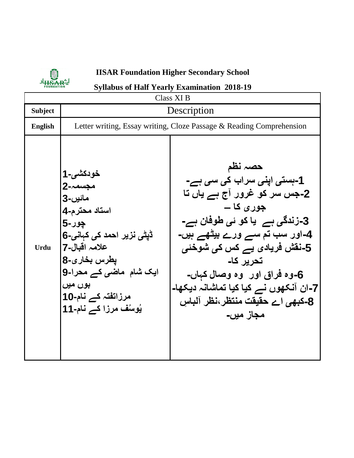

## **IISAR Foundation Higher Secondary School**

## **Syllabus of Half Yearly Examination 2018-19**

| <b>Class XI B</b> |                                                                                                                                                                                                                     |                                                                                                                                                                                                                                                                                                                                                     |  |
|-------------------|---------------------------------------------------------------------------------------------------------------------------------------------------------------------------------------------------------------------|-----------------------------------------------------------------------------------------------------------------------------------------------------------------------------------------------------------------------------------------------------------------------------------------------------------------------------------------------------|--|
| <b>Subject</b>    | Description                                                                                                                                                                                                         |                                                                                                                                                                                                                                                                                                                                                     |  |
| <b>English</b>    | Letter writing, Essay writing, Cloze Passage & Reading Comprehension                                                                                                                                                |                                                                                                                                                                                                                                                                                                                                                     |  |
| <b>Urdu</b>       | خودكشي-1<br>مجسمہ-2<br>مائيں-3<br>استاد محترم-4<br><b>چور-5</b><br>ڈیٹی نزیر احمد کی کہانی-6<br>علامہ اقبال-7 <br>يطرس بخارى-8<br>ایک شام  ماضی کے محرا-9<br>بوں میں<br>مرزائفتہ کے نام-10<br>يُوسُف مرزا كے نام-11 | حصہ نظم<br>1-بستی اپنی سراب کی سی ہے-<br>2-جس سر کو غرور آج ہے یاں تا<br>جور ی کا ـــ<br>3-زندگ <i>ی</i> ہے۔یا کو ئ <i>ی</i> طوفان ہے-<br><b>4-اور سب تم سے ورے بیٹھے ہیں-</b><br>5-نقش فریادی یے کس کی شوخئی<br>تحریر کا۔<br>6-وه فراق اور  وه وصال کېاں-<br>7-ان آنکھوں نے کیا کیا تماشانہ دیکھا۔<br>8-کبھی اے حقیقت منتظر،نظر آلباس<br>مجاز میں۔ |  |